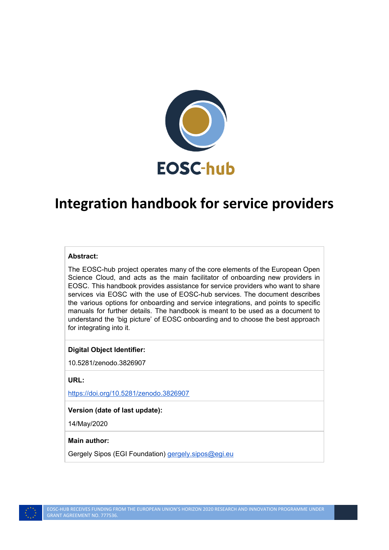

# **Integration handbook for service providers**

#### **Abstract:**

The EOSC-hub project operates many of the core elements of the European Open Science Cloud, and acts as the main facilitator of onboarding new providers in EOSC. This handbook provides assistance for service providers who want to share services via EOSC with the use of EOSC-hub services. The document describes the various options for onboarding and service integrations, and points to specific manuals for further details. The handbook is meant to be used as a document to understand the 'big picture' of EOSC onboarding and to choose the best approach for integrating into it.

#### **Digital Object Identifier:**

10.5281/zenodo.3826907

**URL:**

<https://doi.org/10.5281/zenodo.3826907>

#### **Version (date of last update):**

14/May/2020

#### **Main author:**

Gergely Sipos (EGI Foundation) *[gergely.sipos@egi.eu](mailto:gergely.sipos@egi.eu)*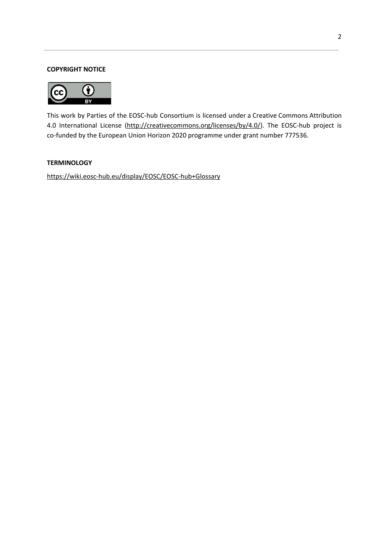#### **COPYRIGHT NOTICE**



This work by Parties of the EOSC-hub Consortium is licensed under a Creative Commons Attribution 4.0 International License [\(http://creativecommons.org/licenses/by/4.0/](http://creativecommons.org/licenses/by/4.0/)). The EOSC-hub project is co-funded by the European Union Horizon 2020 programme under grant number 777536.

#### **TERMINOLOGY**

<https://wiki.eosc-hub.eu/display/EOSC/EOSC-hub+Glossary>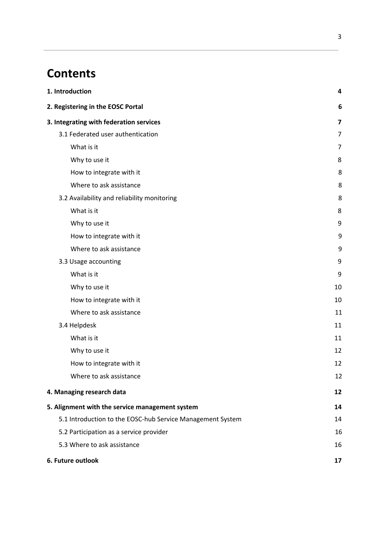# **Contents**

| 1. Introduction                                            | 4                       |
|------------------------------------------------------------|-------------------------|
| 2. Registering in the EOSC Portal                          | 6                       |
| 3. Integrating with federation services                    | $\overline{\mathbf{z}}$ |
| 3.1 Federated user authentication                          | $\overline{7}$          |
| What is it                                                 | 7                       |
| Why to use it                                              | 8                       |
| How to integrate with it                                   | 8                       |
| Where to ask assistance                                    | 8                       |
| 3.2 Availability and reliability monitoring                | 8                       |
| What is it                                                 | 8                       |
| Why to use it                                              | 9                       |
| How to integrate with it                                   | 9                       |
| Where to ask assistance                                    | 9                       |
| 3.3 Usage accounting                                       | 9                       |
| What is it                                                 | 9                       |
| Why to use it                                              | 10                      |
| How to integrate with it                                   | 10                      |
| Where to ask assistance                                    | 11                      |
| 3.4 Helpdesk                                               | 11                      |
| What is it                                                 | 11                      |
| Why to use it                                              | 12                      |
| How to integrate with it                                   | 12                      |
| Where to ask assistance                                    | 12                      |
| 4. Managing research data                                  | 12                      |
| 5. Alignment with the service management system            | 14                      |
| 5.1 Introduction to the EOSC-hub Service Management System | 14                      |
| 5.2 Participation as a service provider                    | 16                      |
| 5.3 Where to ask assistance                                | 16                      |
| 6. Future outlook                                          | 17                      |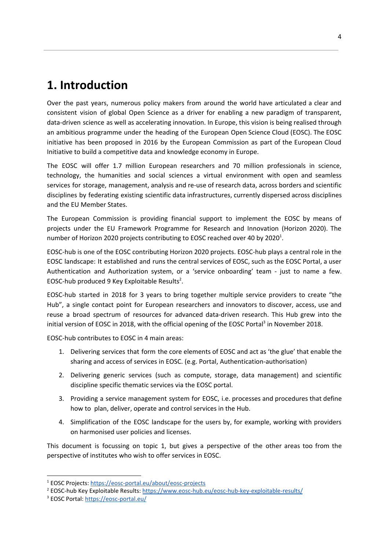## <span id="page-3-0"></span>**1. Introduction**

Over the past years, numerous policy makers from around the world have articulated a clear and consistent vision of global Open Science as a driver for enabling a new paradigm of transparent, data-driven science as well as accelerating innovation. In Europe, this vision is being realised through an ambitious programme under the heading of the European Open Science Cloud (EOSC). The EOSC initiative has been proposed in 2016 by the European Commission as part of the European Cloud Initiative to build a competitive data and knowledge economy in Europe.

The EOSC will offer 1.7 million European researchers and 70 million professionals in science, technology, the humanities and social sciences a virtual environment with open and seamless services for storage, management, analysis and re-use of research data, across borders and scientific disciplines by federating existing scientific data infrastructures, currently dispersed across disciplines and the EU Member States.

The European Commission is providing financial support to implement the EOSC by means of projects under the EU Framework Programme for Research and Innovation (Horizon 2020). The number of Horizon 2020 projects contributing to EOSC reached over 40 by 2020<sup>1</sup>.

EOSC-hub is one of the EOSC contributing Horizon 2020 projects. EOSC-hub plays a central role in the EOSC landscape: It established and runs the central services of EOSC, such as the EOSC Portal, a user Authentication and Authorization system, or a 'service onboarding' team - just to name a few. EOSC-hub produced 9 Key Exploitable Results<sup>2</sup>.

EOSC-hub started in 2018 for 3 years to bring together multiple service providers to create "the Hub", a single contact point for European researchers and innovators to discover, access, use and reuse a broad spectrum of resources for advanced data-driven research. This Hub grew into the initial version of EOSC in 2018, with the official opening of the EOSC Portal<sup>3</sup> in November 2018.

EOSC-hub contributes to EOSC in 4 main areas:

- 1. Delivering services that form the core elements of EOSC and act as 'the glue' that enable the sharing and access of services in EOSC. (e.g. Portal, Authentication-authorisation)
- 2. Delivering generic services (such as compute, storage, data management) and scientific discipline specific thematic services via the EOSC portal.
- 3. Providing a service management system for EOSC, i.e. processes and procedures that define how to plan, deliver, operate and control services in the Hub.
- 4. Simplification of the EOSC landscape for the users by, for example, working with providers on harmonised user policies and licenses.

This document is focussing on topic 1, but gives a perspective of the other areas too from the perspective of institutes who wish to offer services in EOSC.

<sup>1</sup> EOSC Projects: <https://eosc-portal.eu/about/eosc-projects>

<sup>2</sup> EOSC-hub Key Exploitable Results: <https://www.eosc-hub.eu/eosc-hub-key-exploitable-results/>

<sup>&</sup>lt;sup>3</sup> EOSC Portal: <https://eosc-portal.eu/>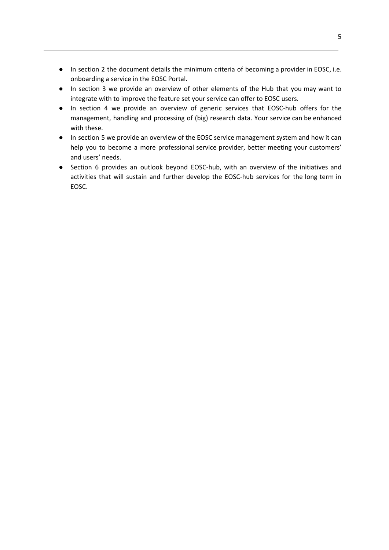- In section 2 the document details the minimum criteria of becoming a provider in EOSC, i.e. onboarding a service in the EOSC Portal.
- In section 3 we provide an overview of other elements of the Hub that you may want to integrate with to improve the feature set your service can offer to EOSC users.
- In section 4 we provide an overview of generic services that EOSC-hub offers for the management, handling and processing of (big) research data. Your service can be enhanced with these.
- In section 5 we provide an overview of the EOSC service management system and how it can help you to become a more professional service provider, better meeting your customers' and users' needs.
- Section 6 provides an outlook beyond EOSC-hub, with an overview of the initiatives and activities that will sustain and further develop the EOSC-hub services for the long term in EOSC.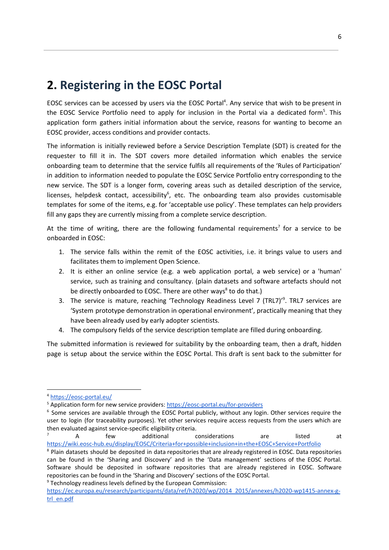## <span id="page-5-0"></span>**2. Registering in the EOSC Portal**

EOSC services can be accessed by users via the EOSC Portal<sup>4</sup>. Any service that wish to be present in the EOSC Service Portfolio need to apply for inclusion in the Portal via a dedicated form<sup>5</sup>. This application form gathers initial information about the service, reasons for wanting to become an EOSC provider, access conditions and provider contacts.

The information is initially reviewed before a Service Description Template (SDT) is created for the requester to fill it in. The SDT covers more detailed information which enables the service onboarding team to determine that the service fulfils all requirements of the 'Rules of Participation' in addition to information needed to populate the EOSC Service Portfolio entry corresponding to the new service. The SDT is a longer form, covering areas such as detailed description of the service, licenses, helpdesk contact, accessibility $6$ , etc. The onboarding team also provides customisable templates for some of the items, e.g. for 'acceptable use policy'. These templates can help providers fill any gaps they are currently missing from a complete service description.

At the time of writing, there are the following fundamental requirements<sup>7</sup> for a service to be onboarded in EOSC:

- 1. The service falls within the remit of the EOSC activities, i.e. it brings value to users and facilitates them to implement Open Science.
- 2. It is either an online service (e.g. a web application portal, a web service) or a 'human' service, such as training and consultancy. (plain datasets and software artefacts should not be directly onboarded to EOSC. There are other ways<sup>8</sup> to do that.)
- 3. The service is mature, reaching 'Technology Readiness Level 7 (TRL7)'<sup>9</sup>. TRL7 services are 'System prototype demonstration in operational environment', practically meaning that they have been already used by early adopter scientists.
- 4. The compulsory fields of the service description template are filled during onboarding.

The submitted information is reviewed for suitability by the onboarding team, then a draft, hidden page is setup about the service within the EOSC Portal. This draft is sent back to the submitter for

A few additional considerations are listed at <https://wiki.eosc-hub.eu/display/EOSC/Criteria+for+possible+inclusion+in+the+EOSC+Service+Portfolio>

<sup>9</sup> Technology readiness levels defined by the European Commission:

<sup>4</sup> <https://eosc-portal.eu/>

<sup>&</sup>lt;sup>5</sup> Application form for new service providers: <https://eosc-portal.eu/for-providers>

<sup>&</sup>lt;sup>6</sup> Some services are available through the EOSC Portal publicly, without any login. Other services require the user to login (for traceability purposes). Yet other services require access requests from the users which are then evaluated against service-specific eligibility criteria.

<sup>&</sup>lt;sup>8</sup> Plain datasets should be deposited in data repositories that are already registered in EOSC. Data repositories can be found in the 'Sharing and Discovery' and in the 'Data management' sections of the EOSC Portal. Software should be deposited in software repositories that are already registered in EOSC. Software repositories can be found in the 'Sharing and Discovery' sections of the EOSC Portal.

[https://ec.europa.eu/research/participants/data/ref/h2020/wp/2014\\_2015/annexes/h2020-wp1415-annex-g](https://ec.europa.eu/research/participants/data/ref/h2020/wp/2014_2015/annexes/h2020-wp1415-annex-g-trl_en.pdf)[trl\\_en.pdf](https://ec.europa.eu/research/participants/data/ref/h2020/wp/2014_2015/annexes/h2020-wp1415-annex-g-trl_en.pdf)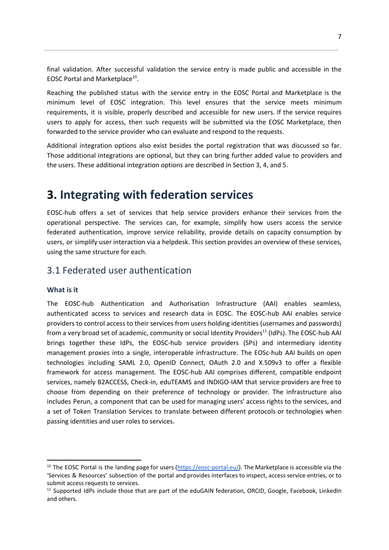final validation. After successful validation the service entry is made public and accessible in the EOSC Portal and Marketplace<sup>10</sup>.

Reaching the published status with the service entry in the EOSC Portal and Marketplace is the minimum level of EOSC integration. This level ensures that the service meets minimum requirements, it is visible, properly described and accessible for new users. If the service requires users to apply for access, then such requests will be submitted via the EOSC Marketplace, then forwarded to the service provider who can evaluate and respond to the requests.

Additional integration options also exist besides the portal registration that was discussed so far. Those additional integrations are optional, but they can bring further added value to providers and the users. These additional integration options are described in Section 3, 4, and 5.

## <span id="page-6-0"></span>**3. Integrating with federation services**

EOSC-hub offers a set of services that help service providers enhance their services from the operational perspective. The services can, for example, simplify how users access the service federated authentication, improve service reliability, provide details on capacity consumption by users, or simplify user interaction via a helpdesk. This section provides an overview of these services, using the same structure for each.

### <span id="page-6-1"></span>3.1 Federated user authentication

#### <span id="page-6-2"></span>**What is it**

The EOSC-hub Authentication and Authorisation Infrastructure (AAI) enables seamless, authenticated access to services and research data in EOSC. The EOSC-hub AAI enables service providers to control access to their services from users holding identities (usernames and passwords) from a very broad set of academic, community or social Identity Providers<sup>11</sup> (IdPs). The EOSC-hub AAI brings together these IdPs, the EOSC-hub service providers (SPs) and intermediary identity management proxies into a single, interoperable infrastructure. The EOSc-hub AAI builds on open technologies including SAML 2.0, OpenID Connect, OAuth 2.0 and X.509v3 to offer a flexible framework for access management. The EOSC-hub AAI comprises different, compatible endpoint services, namely B2ACCESS, Check-in, eduTEAMS and INDIGO-IAM that service providers are free to choose from depending on their preference of technology or provider. The infrastructure also includes Perun, a component that can be used for managing users' access rights to the services, and a set of Token Translation Services to translate between different protocols or technologies when passing identities and user roles to services.

<sup>&</sup>lt;sup>10</sup> The EOSC Portal is the landing page for users ( $\frac{https://eosc-porta1.eu/)}{https://eosc-porta1.eu/)}$ . The Marketplace is accessible via the 'Services & Resources' subsection of the portal and provides interfaces to inspect, access service entries, or to submit access requests to services.

<sup>&</sup>lt;sup>11</sup> Supported IdPs include those that are part of the eduGAIN federation, ORCID, Google, Facebook, LinkedIn and others.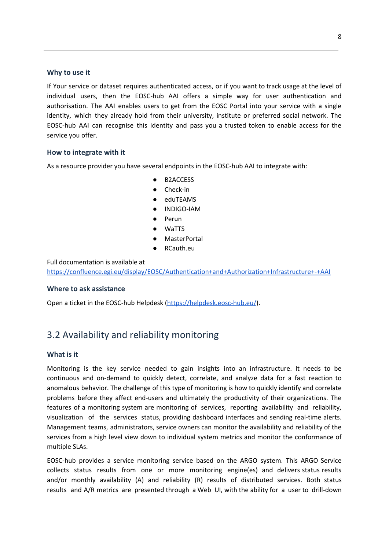#### <span id="page-7-0"></span>**Why to use it**

If Your service or dataset requires authenticated access, or if you want to track usage at the level of individual users, then the EOSC-hub AAI offers a simple way for user authentication and authorisation. The AAI enables users to get from the EOSC Portal into your service with a single identity, which they already hold from their university, institute or preferred social network. The EOSC-hub AAI can recognise this identity and pass you a trusted token to enable access for the service you offer.

#### <span id="page-7-1"></span>**How to integrate with it**

As a resource provider you have several endpoints in the EOSC-hub AAI to integrate with:

- B2ACCESS
- Check-in
- eduTEAMS
- INDIGO-IAM
- Perun
- **WaTTS**
- **MasterPortal**
- RCauth.eu

Full documentation is available at

<https://confluence.egi.eu/display/EOSC/Authentication+and+Authorization+Infrastructure+-+AAI>

#### <span id="page-7-2"></span>**Where to ask assistance**

Open a ticket in the EOSC-hub Helpdesk [\(https://helpdesk.eosc-hub.eu/\)](https://helpdesk.eosc-hub.eu/).

## <span id="page-7-3"></span>3.2 Availability and reliability monitoring

#### <span id="page-7-4"></span>**What is it**

Monitoring is the key service needed to gain insights into an infrastructure. It needs to be continuous and on-demand to quickly detect, correlate, and analyze data for a fast reaction to anomalous behavior. The challenge of this type of monitoring is how to quickly identify and correlate problems before they affect end-users and ultimately the productivity of their organizations. The features of a monitoring system are monitoring of services, reporting availability and reliability, visualization of the services status, providing dashboard interfaces and sending real-time alerts. Management teams, administrators, service owners can monitor the availability and reliability of the services from a high level view down to individual system metrics and monitor the conformance of multiple SLAs.

EOSC-hub provides a service monitoring service based on the ARGO system. This ARGO Service collects status results from one or more monitoring engine(es) and delivers status results and/or monthly availability (A) and reliability (R) results of distributed services. Both status results and A/R metrics are presented through a Web UI, with the ability for a user to drill-down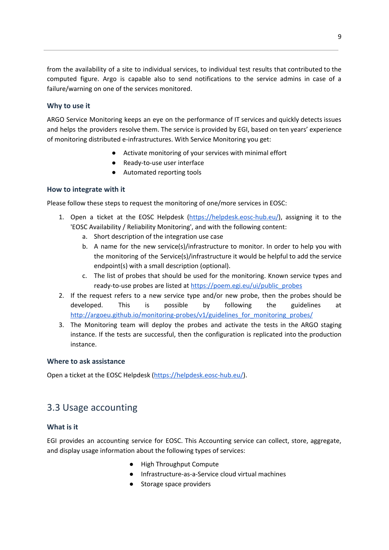from the availability of a site to individual services, to individual test results that contributed to the computed figure. Argo is capable also to send notifications to the service admins in case of a failure/warning on one of the services monitored.

#### <span id="page-8-0"></span>**Why to use it**

ARGO Service Monitoring keeps an eye on the performance of IT services and quickly detects issues and helps the providers resolve them. The service is provided by EGI, based on ten years' experience of monitoring distributed e-infrastructures. With Service Monitoring you get:

- Activate monitoring of your services with minimal effort
- Ready-to-use user interface
- Automated reporting tools

#### <span id="page-8-1"></span>**How to integrate with it**

Please follow these steps to request the monitoring of one/more services in EOSC:

- 1. Open a ticket at the EOSC Helpdesk [\(https://helpdesk.eosc-hub.eu/\)](https://helpdesk.eosc-hub.eu/), assigning it to the 'EOSC Availability / Reliability Monitoring', and with the following content:
	- a. Short description of the integration use case
	- b. A name for the new service(s)/infrastructure to monitor. In order to help you with the monitoring of the Service(s)/infrastructure it would be helpful to add the service endpoint(s) with a small description (optional).
	- c. The list of probes that should be used for the monitoring. Known service types and ready-to-use probes are listed at [https://poem.egi.eu/ui/public\\_probes](https://poem.egi.eu/ui/public_probes)
- 2. If the request refers to a new service type and/or new probe, then the probes should be developed. This is possible by following the guidelines at http://argoeu.github.io/monitoring-probes/v1/guidelines for monitoring probes/
- 3. The Monitoring team will deploy the probes and activate the tests in the ARGO staging instance. If the tests are successful, then the configuration is replicated into the production instance.

#### <span id="page-8-2"></span>**Where to ask assistance**

Open a ticket at the EOSC Helpdesk [\(https://helpdesk.eosc-hub.eu/\)](https://helpdesk.eosc-hub.eu/).

## <span id="page-8-3"></span>3.3 Usage accounting

#### <span id="page-8-4"></span>**What is it**

EGI provides an accounting service for EOSC. This Accounting service can collect, store, aggregate, and display usage information about the following types of services:

- High Throughput Compute
- Infrastructure-as-a-Service cloud virtual machines
- Storage space providers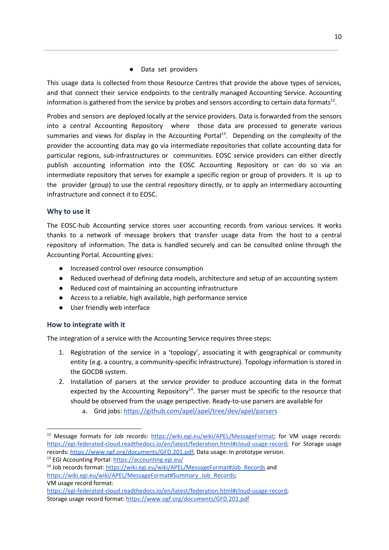● Data set providers

This usage data is collected from those Resource Centres that provide the above types of services, and that connect their service endpoints to the centrally managed Accounting Service. Accounting information is gathered from the service by probes and sensors according to certain data formats<sup>12</sup>.

Probes and sensors are deployed locally at the service providers. Data is forwarded from the sensors into a central Accounting Repository where those data are processed to generate various summaries and views for display in the Accounting Portal<sup>13</sup>. Depending on the complexity of the provider the accounting data may go via intermediate repositories that collate accounting data for particular regions, sub-infrastructures or communities. EOSC service providers can either directly publish accounting information into the EOSC Accounting Repository or can do so via an intermediate repository that serves for example a specific region or group of providers. It is up to the provider (group) to use the central repository directly, or to apply an intermediary accounting infrastructure and connect it to EOSC.

#### <span id="page-9-0"></span>**Why to use it**

The EOSC-hub Accounting service stores user accounting records from various services. It works thanks to a network of message brokers that transfer usage data from the host to a central repository of information. The data is handled securely and can be consulted online through the Accounting Portal. Accounting gives:

- Increased control over resource consumption
- Reduced overhead of defining data models, architecture and setup of an accounting system
- Reduced cost of maintaining an accounting infrastructure
- Access to a reliable, high available, high performance service
- User friendly web interface

#### <span id="page-9-1"></span>**How to integrate with it**

The integration of a service with the Accounting Service requires three steps:

- 1. Registration of the service in a 'topology', associating it with geographical or community entity (e.g. a country, a community-specific infrastructure). Topology information is stored in the GOCDB system.
- 2. Installation of parsers at the service provider to produce accounting data in the format expected by the Accounting Repository<sup>14</sup>. The parser must be specific to the resource that should be observed from the usage perspective. Ready-to-use parsers are available for
	- a. Grid jobs: <https://github.com/apel/apel/tree/dev/apel/parsers>

<sup>&</sup>lt;sup>12</sup> Message formats for Job records: <https://wiki.egi.eu/wiki/APEL/MessageFormat>; for VM usage records: [https://egi-federated-cloud.readthedocs.io/en/latest/federation.html#cloud-usage-record;](https://egi-federated-cloud.readthedocs.io/en/latest/federation.html#cloud-usage-record) For Storage usage records: <https://www.ogf.org/documents/GFD.201.pdf>; Data usage: In prototype version.

<sup>&</sup>lt;sup>13</sup> EGI Accounting Portal: <https://accounting.egi.eu/>

<sup>&</sup>lt;sup>14</sup> Job records format: [https://wiki.egi.eu/wiki/APEL/MessageFormat#Job\\_Records](https://wiki.egi.eu/wiki/APEL/MessageFormat#Job_Records) and [https://wiki.egi.eu/wiki/APEL/MessageFormat#Summary\\_Job\\_Records](https://wiki.egi.eu/wiki/APEL/MessageFormat#Summary_Job_Records); VM usage record format:

[https://egi-federated-cloud.readthedocs.io/en/latest/federation.html#cloud-usage-record;](https://egi-federated-cloud.readthedocs.io/en/latest/federation.html#cloud-usage-record)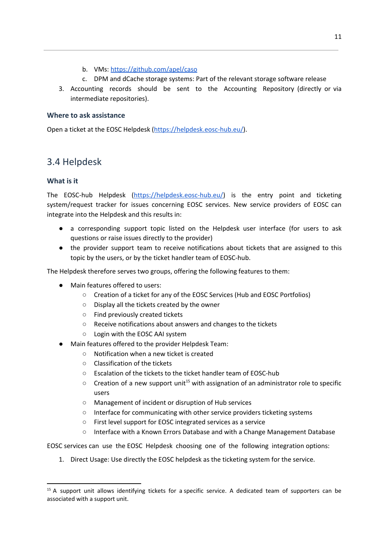- b. VMs: <https://github.com/apel/caso>
- c. DPM and dCache storage systems: Part of the relevant storage software release
- 3. Accounting records should be sent to the Accounting Repository (directly or via intermediate repositories).

#### <span id="page-10-0"></span>**Where to ask assistance**

Open a ticket at the EOSC Helpdesk [\(https://helpdesk.eosc-hub.eu/\)](https://helpdesk.eosc-hub.eu/).

## <span id="page-10-1"></span>3.4 Helpdesk

#### <span id="page-10-2"></span>**What is it**

The EOSC-hub Helpdesk [\(https://helpdesk.eosc-hub.eu/](https://helpdesk.eosc-hub.eu/)) is the entry point and ticketing system/request tracker for issues concerning EOSC services. New service providers of EOSC can integrate into the Helpdesk and this results in:

- a corresponding support topic listed on the Helpdesk user interface (for users to ask questions or raise issues directly to the provider)
- the provider support team to receive notifications about tickets that are assigned to this topic by the users, or by the ticket handler team of EOSC-hub.

The Helpdesk therefore serves two groups, offering the following features to them:

- Main features offered to users:
	- Creation of a ticket for any of the EOSC Services (Hub and EOSC Portfolios)
	- Display all the tickets created by the owner
	- Find previously created tickets
	- Receive notifications about answers and changes to the tickets
	- Login with the EOSC AAI system
- Main features offered to the provider Helpdesk Team:
	- Notification when a new ticket is created
	- Classification of the tickets
	- Escalation of the tickets to the ticket handler team of EOSC-hub
	- $\circ$  Creation of a new support unit<sup>15</sup> with assignation of an administrator role to specific users
	- Management of incident or disruption of Hub services
	- Interface for communicating with other service providers ticketing systems
	- First level support for EOSC integrated services as a service
	- Interface with a Known Errors Database and with a Change Management Database

EOSC services can use the EOSC Helpdesk choosing one of the following integration options:

1. Direct Usage: Use directly the EOSC helpdesk as the ticketing system for the service.

<sup>&</sup>lt;sup>15</sup> A support unit allows identifying tickets for a specific service. A dedicated team of supporters can be associated with a support unit.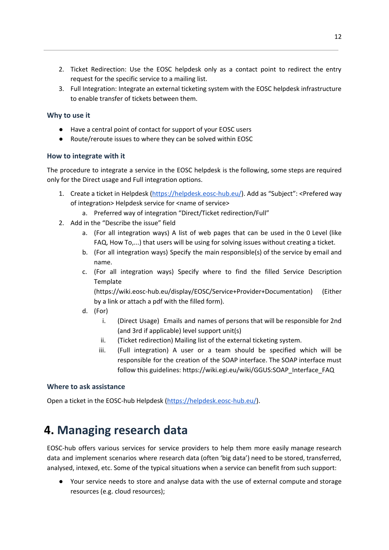- 2. Ticket Redirection: Use the EOSC helpdesk only as a contact point to redirect the entry request for the specific service to a mailing list.
- 3. Full Integration: Integrate an external ticketing system with the EOSC helpdesk infrastructure to enable transfer of tickets between them.

#### <span id="page-11-0"></span>**Why to use it**

- Have a central point of contact for support of your EOSC users
- Route/reroute issues to where they can be solved within EOSC

#### <span id="page-11-1"></span>**How to integrate with it**

The procedure to integrate a service in the EOSC helpdesk is the following, some steps are required only for the Direct usage and Full integration options.

- 1. Create a ticket in Helpdesk [\(https://helpdesk.eosc-hub.eu/](https://helpdesk.eosc-hub.eu/)). Add as "Subject": <Prefered way of integration> Helpdesk service for <name of service>
	- a. Preferred way of integration "Direct/Ticket redirection/Full"
- 2. Add in the "Describe the issue" field
	- a. (For all integration ways) A list of web pages that can be used in the 0 Level (like FAQ, How To,...) that users will be using for solving issues without creating a ticket.
	- b. (For all integration ways) Specify the main responsible(s) of the service by email and name.
	- c. (For all integration ways) Specify where to find the filled Service Description Template

(https://wiki.eosc-hub.eu/display/EOSC/Service+Provider+Documentation) (Either by a link or attach a pdf with the filled form).

- d. (For)
	- i. (Direct Usage) Emails and names of persons that will be responsible for 2nd (and 3rd if applicable) level support unit(s)
	- ii. (Ticket redirection) Mailing list of the external ticketing system.
	- iii. (Full integration) A user or a team should be specified which will be responsible for the creation of the SOAP interface. The SOAP interface must follow this guidelines: https://wiki.egi.eu/wiki/GGUS:SOAP\_Interface\_FAQ

#### <span id="page-11-2"></span>**Where to ask assistance**

<span id="page-11-3"></span>Open a ticket in the EOSC-hub Helpdesk [\(https://helpdesk.eosc-hub.eu/\)](https://helpdesk.eosc-hub.eu/).

## **4. Managing research data**

EOSC-hub offers various services for service providers to help them more easily manage research data and implement scenarios where research data (often 'big data') need to be stored, transferred, analysed, intexed, etc. Some of the typical situations when a service can benefit from such support:

Your service needs to store and analyse data with the use of external compute and storage resources (e.g. cloud resources);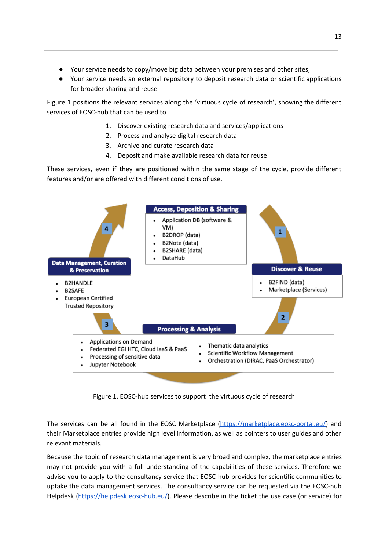- Your service needs to copy/move big data between your premises and other sites;
- Your service needs an external repository to deposit research data or scientific applications for broader sharing and reuse

Figure 1 positions the relevant services along the 'virtuous cycle of research', showing the different services of EOSC-hub that can be used to

- 1. Discover existing research data and services/applications
- 2. Process and analyse digital research data
- 3. Archive and curate research data
- 4. Deposit and make available research data for reuse

These services, even if they are positioned within the same stage of the cycle, provide different features and/or are offered with different conditions of use.



Figure 1. EOSC-hub services to support the virtuous cycle of research

The services can be all found in the EOSC Marketplace [\(https://marketplace.eosc-portal.eu/](https://marketplace.eosc-portal.eu/)) and their Marketplace entries provide high level information, as well as pointers to user guides and other relevant materials.

Because the topic of research data management is very broad and complex, the marketplace entries may not provide you with a full understanding of the capabilities of these services. Therefore we advise you to apply to the consultancy service that EOSC-hub provides for scientific communities to uptake the data management services. The consultancy service can be requested via the EOSC-hub Helpdesk ([https://helpdesk.eosc-hub.eu/\)](https://helpdesk.eosc-hub.eu/). Please describe in the ticket the use case (or service) for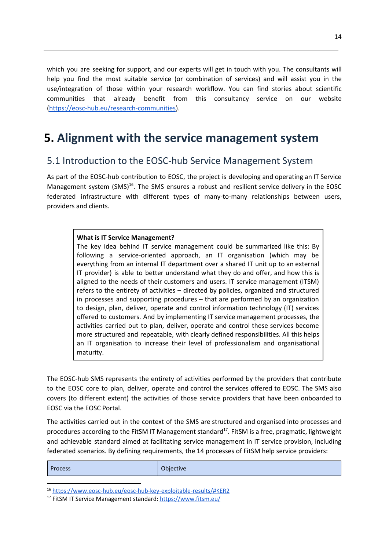which you are seeking for support, and our experts will get in touch with you. The consultants will help you find the most suitable service (or combination of services) and will assist you in the use/integration of those within your research workflow. You can find stories about scientific communities that already benefit from this consultancy service on our website [\(https://eosc-hub.eu/research-communities](https://eosc-hub.eu/research-communities)).

## <span id="page-13-0"></span>**5. Alignment with the service management system**

### <span id="page-13-1"></span>5.1 Introduction to the EOSC-hub Service Management System

As part of the EOSC-hub contribution to EOSC, the project is developing and operating an IT Service Management system (SMS) $^{16}$ . The SMS ensures a robust and resilient service delivery in the EOSC federated infrastructure with different types of many-to-many relationships between users, providers and clients.

#### **What is IT Service Management?**

The key idea behind IT service management could be summarized like this: By following a service-oriented approach, an IT organisation (which may be everything from an internal IT department over a shared IT unit up to an external IT provider) is able to better understand what they do and offer, and how this is aligned to the needs of their customers and users. IT service management (ITSM) refers to the entirety of activities – directed by policies, organized and structured in processes and supporting procedures – that are performed by an organization to design, plan, deliver, operate and control information technology (IT) services offered to customers. And by implementing IT service management processes, the activities carried out to plan, deliver, operate and control these services become more structured and repeatable, with clearly defined responsibilities. All this helps an IT organisation to increase their level of professionalism and organisational maturity.

The EOSC-hub SMS represents the entirety of activities performed by the providers that contribute to the EOSC core to plan, deliver, operate and control the services offered to EOSC. The SMS also covers (to different extent) the activities of those service providers that have been onboarded to EOSC via the EOSC Portal.

The activities carried out in the context of the SMS are structured and organised into processes and procedures according to the FitSM IT Management standard<sup>17</sup>. FitSM is a free, pragmatic, lightweight and achievable standard aimed at facilitating service management in IT service provision, including federated scenarios. By defining requirements, the 14 processes of FitSM help service providers:

|  | <b>Process</b> | Objective |
|--|----------------|-----------|
|--|----------------|-----------|

<sup>16</sup> <https://www.eosc-hub.eu/eosc-hub-key-exploitable-results/#KER2>

<sup>17</sup> FitSM IT Service Management standard: <https://www.fitsm.eu/>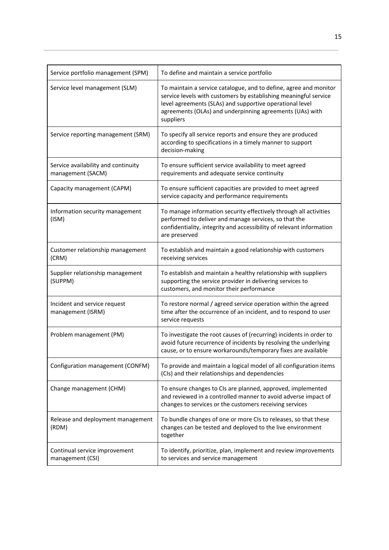| Service portfolio management (SPM)                       | To define and maintain a service portfolio                                                                                                                                                                                                                                 |
|----------------------------------------------------------|----------------------------------------------------------------------------------------------------------------------------------------------------------------------------------------------------------------------------------------------------------------------------|
| Service level management (SLM)                           | To maintain a service catalogue, and to define, agree and monitor<br>service levels with customers by establishing meaningful service<br>level agreements (SLAs) and supportive operational level<br>agreements (OLAs) and underpinning agreements (UAs) with<br>suppliers |
| Service reporting management (SRM)                       | To specify all service reports and ensure they are produced<br>according to specifications in a timely manner to support<br>decision-making                                                                                                                                |
| Service availability and continuity<br>management (SACM) | To ensure sufficient service availability to meet agreed<br>requirements and adequate service continuity                                                                                                                                                                   |
| Capacity management (CAPM)                               | To ensure sufficient capacities are provided to meet agreed<br>service capacity and performance requirements                                                                                                                                                               |
| Information security management<br>(ISM)                 | To manage information security effectively through all activities<br>performed to deliver and manage services, so that the<br>confidentiality, integrity and accessibility of relevant information<br>are preserved                                                        |
| Customer relationship management<br>(CRM)                | To establish and maintain a good relationship with customers<br>receiving services                                                                                                                                                                                         |
| Supplier relationship management<br>(SUPPM)              | To establish and maintain a healthy relationship with suppliers<br>supporting the service provider in delivering services to<br>customers, and monitor their performance                                                                                                   |
| Incident and service request<br>management (ISRM)        | To restore normal / agreed service operation within the agreed<br>time after the occurrence of an incident, and to respond to user<br>service requests                                                                                                                     |
| Problem management (PM)                                  | To investigate the root causes of (recurring) incidents in order to<br>avoid future recurrence of incidents by resolving the underlying<br>cause, or to ensure workarounds/temporary fixes are available                                                                   |
| Configuration management (CONFM)                         | To provide and maintain a logical model of all configuration items<br>(CIs) and their relationships and dependencies                                                                                                                                                       |
| Change management (CHM)                                  | To ensure changes to CIs are planned, approved, implemented<br>and reviewed in a controlled manner to avoid adverse impact of<br>changes to services or the customers receiving services                                                                                   |
| Release and deployment management<br>(RDM)               | To bundle changes of one or more CIs to releases, so that these<br>changes can be tested and deployed to the live environment<br>together                                                                                                                                  |
| Continual service improvement<br>management (CSI)        | To identify, prioritize, plan, implement and review improvements<br>to services and service management                                                                                                                                                                     |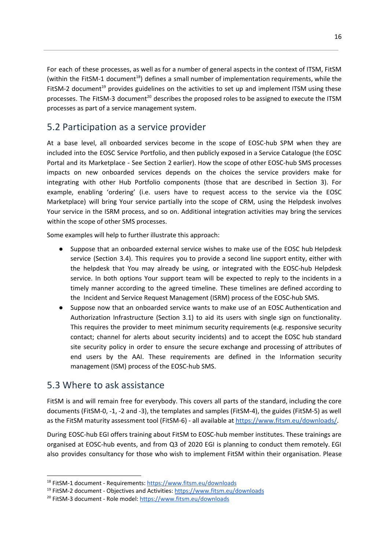For each of these processes, as well as for a number of general aspects in the context of ITSM, FitSM (within the FitSM-1 document<sup>18</sup>) defines a small number of implementation requirements, while the FitSM-2 document<sup>19</sup> provides guidelines on the activities to set up and implement ITSM using these processes. The FitSM-3 document<sup>20</sup> describes the proposed roles to be assigned to execute the ITSM processes as part of a service management system.

### <span id="page-15-0"></span>5.2 Participation as a service provider

At a base level, all onboarded services become in the scope of EOSC-hub SPM when they are included into the EOSC Service Portfolio, and then publicly exposed in a Service Catalogue (the EOSC Portal and its Marketplace - See Section 2 earlier). How the scope of other EOSC-hub SMS processes impacts on new onboarded services depends on the choices the service providers make for integrating with other Hub Portfolio components (those that are described in Section 3). For example, enabling 'ordering' (i.e. users have to request access to the service via the EOSC Marketplace) will bring Your service partially into the scope of CRM, using the Helpdesk involves Your service in the ISRM process, and so on. Additional integration activities may bring the services within the scope of other SMS processes.

Some examples will help to further illustrate this approach:

- Suppose that an onboarded external service wishes to make use of the EOSC hub Helpdesk service (Section 3.4). This requires you to provide a second line support entity, either with the helpdesk that You may already be using, or integrated with the EOSC-hub Helpdesk service. In both options Your support team will be expected to reply to the incidents in a timely manner according to the agreed timeline. These timelines are defined according to the Incident and Service Request Management (ISRM) process of the EOSC-hub SMS.
- Suppose now that an onboarded service wants to make use of an EOSC Authentication and Authorization Infrastructure (Section 3.1) to aid its users with single sign on functionality. This requires the provider to meet minimum security requirements (e.g. responsive security contact; channel for alerts about security incidents) and to accept the EOSC hub standard site security policy in order to ensure the secure exchange and processing of attributes of end users by the AAI. These requirements are defined in the Information security management (ISM) process of the EOSC-hub SMS.

### <span id="page-15-1"></span>5.3 Where to ask assistance

FitSM is and will remain free for everybody. This covers all parts of the standard, including the core documents (FitSM-0, -1, -2 and -3), the templates and samples (FitSM-4), the guides (FitSM-5) as well as the FitSM maturity assessment tool (FitSM-6) - all available at <https://www.fitsm.eu/downloads/>

During EOSC-hub EGI offers training about FitSM to EOSC-hub member institutes. These trainings are organised at EOSC-hub events, and from Q3 of 2020 EGI is planning to conduct them remotely. EGI also provides consultancy for those who wish to implement FitSM within their organisation. Please

<sup>&</sup>lt;sup>18</sup> FitSM-1 document - Requirements: <https://www.fitsm.eu/downloads>

<sup>&</sup>lt;sup>19</sup> FitSM-2 document - Objectives and Activities: <https://www.fitsm.eu/downloads>

<sup>&</sup>lt;sup>20</sup> FitSM-3 document - Role model: <https://www.fitsm.eu/downloads>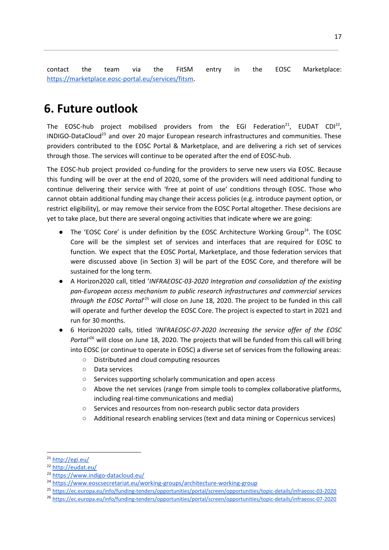contact the team via the FitSM entry in the EOSC Marketplace: <https://marketplace.eosc-portal.eu/services/fitsm>.

## <span id="page-16-0"></span>**6. Future outlook**

The EOSC-hub project mobilised providers from the EGI Federation<sup>21</sup>, EUDAT CDI<sup>22</sup>, INDIGO-DataCloud<sup>23</sup> and over 20 major European research infrastructures and communities. These providers contributed to the EOSC Portal & Marketplace, and are delivering a rich set of services through those. The services will continue to be operated after the end of EOSC-hub.

The EOSC-hub project provided co-funding for the providers to serve new users via EOSC. Because this funding will be over at the end of 2020, some of the providers will need additional funding to continue delivering their service with 'free at point of use' conditions through EOSC. Those who cannot obtain additional funding may change their access policies (e.g. introduce payment option, or restrict eligibility), or may remove their service from the EOSC Portal altogether. These decisions are yet to take place, but there are several ongoing activities that indicate where we are going:

- The 'EOSC Core' is under definition by the EOSC Architecture Working Group<sup>24</sup>. The EOSC Core will be the simplest set of services and interfaces that are required for EOSC to function. We expect that the EOSC Portal, Marketplace, and those federation services that were discussed above (in Section 3) will be part of the EOSC Core, and therefore will be sustained for the long term.
- A Horizon2020 call, titled '*INFRAEOSC-03-2020 Integration and consolidation of the existing pan-European access mechanism to public research infrastructures and commercial services* through the EOSC Portal<sup>'25</sup> will close on June 18, 2020. The project to be funded in this call will operate and further develop the EOSC Core. The project is expected to start in 2021 and run for 30 months.
- 6 Horizon2020 calls, titled *'INFRAEOSC-07-2020 Increasing the service offer of the EOSC* Portal<sup>26</sup> will close on June 18, 2020. The projects that will be funded from this call will bring into EOSC (or continue to operate in EOSC) a diverse set of services from the following areas:
	- Distributed and cloud computing resources
	- Data services
	- Services supporting scholarly communication and open access
	- Above the net services (range from simple tools to complex collaborative platforms, including real-time communications and media)
	- Services and resources from non-research public sector data providers
	- Additional research enabling services (text and data mining or Copernicus services)

<sup>&</sup>lt;sup>21</sup> <http://egi.eu/>

<sup>22</sup> <http://eudat.eu/>

<sup>23</sup> <https://www.indigo-datacloud.eu/>

<sup>&</sup>lt;sup>24</sup> <https://www.eoscsecretariat.eu/working-groups/architecture-working-group>

<sup>25</sup> <https://ec.europa.eu/info/funding-tenders/opportunities/portal/screen/opportunities/topic-details/infraeosc-03-2020>

<sup>26</sup> <https://ec.europa.eu/info/funding-tenders/opportunities/portal/screen/opportunities/topic-details/infraeosc-07-2020>